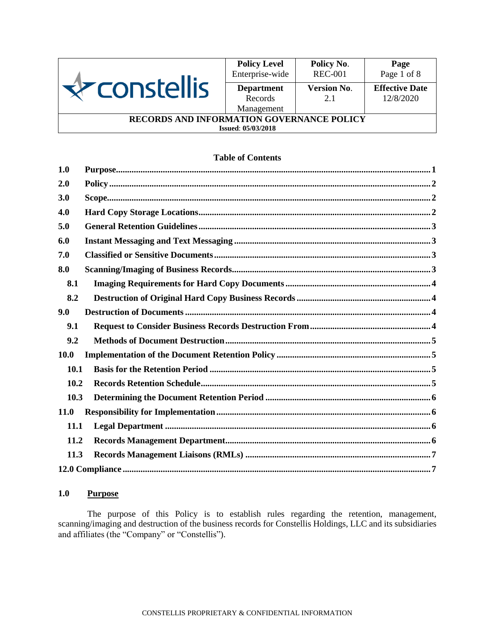

|                                                  | <b>Policy Level</b><br>Enterprise-wide     | Policy No.<br><b>REC-001</b> | Page<br>Page 1 of 8                |  |
|--------------------------------------------------|--------------------------------------------|------------------------------|------------------------------------|--|
| <b>nstellis</b>                                  | <b>Department</b><br>Records<br>Management | <b>Version No.</b><br>2.1    | <b>Effective Date</b><br>12/8/2020 |  |
| <b>RECORDS AND INFORMATION GOVERNANCE POLICY</b> |                                            |                              |                                    |  |

#### **Issued**: **05/03/2018**

# **Table of Contents**

| 1.0         | Purpose. 1 |  |  |
|-------------|------------|--|--|
| 2.0         |            |  |  |
| 3.0         |            |  |  |
| 4.0         |            |  |  |
| 5.0         |            |  |  |
| 6.0         |            |  |  |
| 7.0         |            |  |  |
| 8.0         |            |  |  |
| 8.1         |            |  |  |
| 8.2         |            |  |  |
| 9.0         |            |  |  |
| 9.1         |            |  |  |
| 9.2         |            |  |  |
| <b>10.0</b> |            |  |  |
| 10.1        |            |  |  |
| 10.2        |            |  |  |
| 10.3        |            |  |  |
| 11.0        |            |  |  |
| 11.1        |            |  |  |
| 11.2        |            |  |  |
| 11.3        |            |  |  |
|             |            |  |  |

# <span id="page-0-0"></span>**1.0 Purpose**

The purpose of this Policy is to establish rules regarding the retention, management, scanning/imaging and destruction of the business records for Constellis Holdings, LLC and its subsidiaries and affiliates (the "Company" or "Constellis").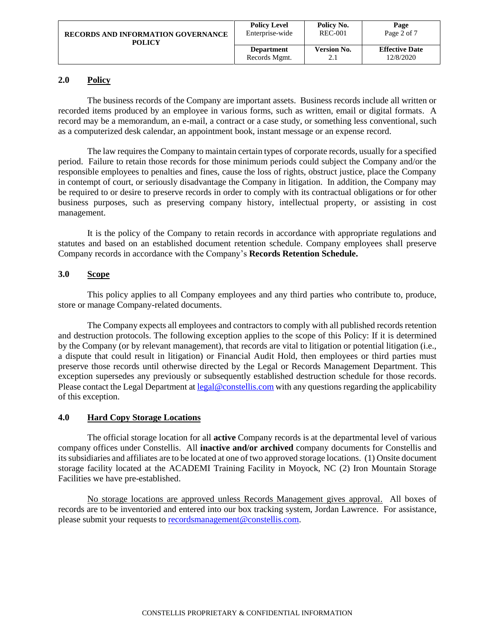| <b>RECORDS AND INFORMATION GOVERNANCE</b> | <b>Policy Level</b> | Policy No.         | Page                  |
|-------------------------------------------|---------------------|--------------------|-----------------------|
| POLICY                                    | Enterprise-wide     | <b>REC-001</b>     | Page 2 of 7           |
|                                           | <b>Department</b>   | <b>Version No.</b> | <b>Effective Date</b> |
|                                           | Records Mgmt.       | 2.1                | 12/8/2020             |

# <span id="page-1-0"></span>**2.0 Policy**

The business records of the Company are important assets. Business records include all written or recorded items produced by an employee in various forms, such as written, email or digital formats. A record may be a memorandum, an e-mail, a contract or a case study, or something less conventional, such as a computerized desk calendar, an appointment book, instant message or an expense record.

The law requires the Company to maintain certain types of corporate records, usually for a specified period. Failure to retain those records for those minimum periods could subject the Company and/or the responsible employees to penalties and fines, cause the loss of rights, obstruct justice, place the Company in contempt of court, or seriously disadvantage the Company in litigation. In addition, the Company may be required to or desire to preserve records in order to comply with its contractual obligations or for other business purposes, such as preserving company history, intellectual property, or assisting in cost management.

It is the policy of the Company to retain records in accordance with appropriate regulations and statutes and based on an established document retention schedule. Company employees shall preserve Company records in accordance with the Company's **Records Retention Schedule.**

## <span id="page-1-1"></span>**3.0 Scope**

This policy applies to all Company employees and any third parties who contribute to, produce, store or manage Company-related documents.

The Company expects all employees and contractors to comply with all published records retention and destruction protocols. The following exception applies to the scope of this Policy: If it is determined by the Company (or by relevant management), that records are vital to litigation or potential litigation (i.e., a dispute that could result in litigation) or Financial Audit Hold, then employees or third parties must preserve those records until otherwise directed by the Legal or Records Management Department. This exception supersedes any previously or subsequently established destruction schedule for those records. Please contact the Legal Department at <u>legal@constellis.com</u> with any questions regarding the applicability of this exception.

## <span id="page-1-2"></span>**4.0 Hard Copy Storage Locations**

The official storage location for all **active** Company records is at the departmental level of various company offices under Constellis. All **inactive and/or archived** company documents for Constellis and its subsidiaries and affiliates are to be located at one of two approved storage locations. (1) Onsite document storage facility located at the ACADEMI Training Facility in Moyock, NC (2) Iron Mountain Storage Facilities we have pre-established.

No storage locations are approved unless Records Management gives approval. All boxes of records are to be inventoried and entered into our box tracking system, Jordan Lawrence. For assistance, please submit your requests to [recordsmanagement@constellis.com.](mailto:recordsmanagement@constellis.com)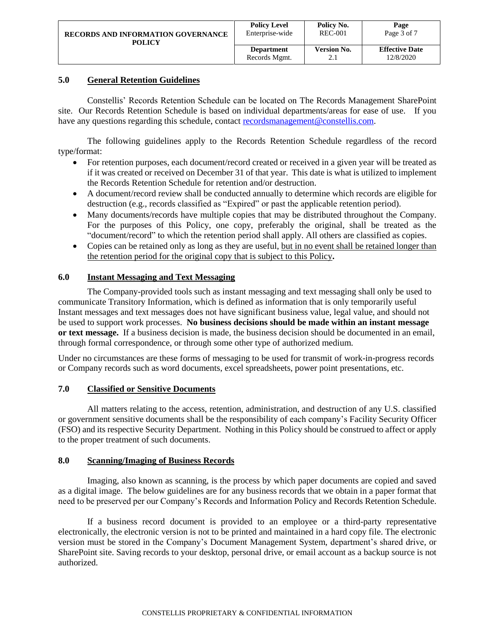| <b>RECORDS AND INFORMATION GOVERNANCE</b> | <b>Policy Level</b> | Policy No.         | Page                  |
|-------------------------------------------|---------------------|--------------------|-----------------------|
| POLICY                                    | Enterprise-wide     | <b>REC-001</b>     | Page 3 of 7           |
|                                           | <b>Department</b>   | <b>Version No.</b> | <b>Effective Date</b> |
|                                           | Records Mgmt.       | 2.1                | 12/8/2020             |

# <span id="page-2-0"></span>**5.0 General Retention Guidelines**

Constellis' Records Retention Schedule can be located on The Records Management SharePoint site. Our Records Retention Schedule is based on individual departments/areas for ease of use. If you have any questions regarding this schedule, contact [recordsmanagement@constellis.com.](mailto:recordsmanagement@constellis.com)

The following guidelines apply to the Records Retention Schedule regardless of the record type/format:

- For retention purposes, each document/record created or received in a given year will be treated as if it was created or received on December 31 of that year. This date is what is utilized to implement the Records Retention Schedule for retention and/or destruction.
- A document/record review shall be conducted annually to determine which records are eligible for destruction (e.g., records classified as "Expired" or past the applicable retention period).
- Many documents/records have multiple copies that may be distributed throughout the Company. For the purposes of this Policy, one copy, preferably the original, shall be treated as the "document/record" to which the retention period shall apply. All others are classified as copies.
- Copies can be retained only as long as they are useful, but in no event shall be retained longer than the retention period for the original copy that is subject to this Policy**.**

## <span id="page-2-1"></span>**6.0 Instant Messaging and Text Messaging**

The Company-provided tools such as instant messaging and text messaging shall only be used to communicate Transitory Information, which is defined as information that is only temporarily useful Instant messages and text messages does not have significant business value, legal value, and should not be used to support work processes. **No business decisions should be made within an instant message or text message.** If a business decision is made, the business decision should be documented in an email, through formal correspondence, or through some other type of authorized medium.

Under no circumstances are these forms of messaging to be used for transmit of work-in-progress records or Company records such as word documents, excel spreadsheets, power point presentations, etc.

## <span id="page-2-2"></span>**7.0 Classified or Sensitive Documents**

All matters relating to the access, retention, administration, and destruction of any U.S. classified or government sensitive documents shall be the responsibility of each company's Facility Security Officer (FSO) and its respective Security Department. Nothing in this Policy should be construed to affect or apply to the proper treatment of such documents.

## <span id="page-2-3"></span>**8.0 Scanning/Imaging of Business Records**

Imaging, also known as scanning, is the process by which paper documents are copied and saved as a digital image. The below guidelines are for any business records that we obtain in a paper format that need to be preserved per our Company's Records and Information Policy and Records Retention Schedule.

If a business record document is provided to an employee or a third-party representative electronically, the electronic version is not to be printed and maintained in a hard copy file. The electronic version must be stored in the Company's Document Management System, department's shared drive, or SharePoint site. Saving records to your desktop, personal drive, or email account as a backup source is not authorized.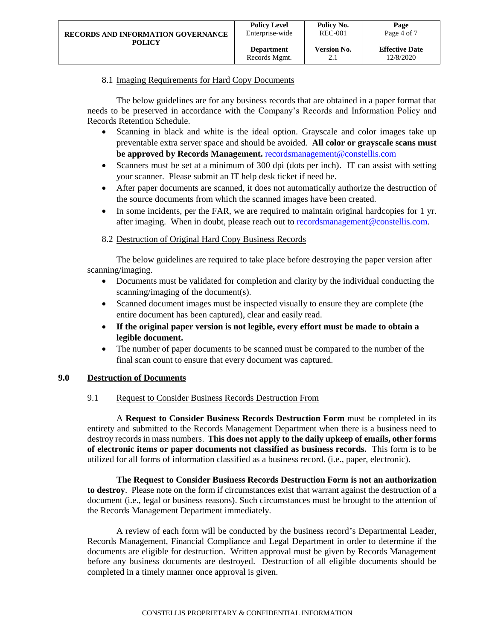## 8.1 Imaging Requirements for Hard Copy Documents

<span id="page-3-0"></span>The below guidelines are for any business records that are obtained in a paper format that needs to be preserved in accordance with the Company's Records and Information Policy and Records Retention Schedule.

- Scanning in black and white is the ideal option. Grayscale and color images take up preventable extra server space and should be avoided. **All color or grayscale scans must be approved by Records Management.** [recordsmanagement@constellis.com](mailto:recordsmanagemetn@constellis.com)
- Scanners must be set at a minimum of 300 dpi (dots per inch). IT can assist with setting your scanner. Please submit an IT help desk ticket if need be.
- After paper documents are scanned, it does not automatically authorize the destruction of the source documents from which the scanned images have been created.
- In some incidents, per the FAR, we are required to maintain original hardcopies for 1 yr. after imaging. When in doubt, please reach out to [recordsmanagement@constellis.com.](mailto:recordsmanagement@constellis.com)

# 8.2 Destruction of Original Hard Copy Business Records

<span id="page-3-1"></span>The below guidelines are required to take place before destroying the paper version after scanning/imaging.

- Documents must be validated for completion and clarity by the individual conducting the scanning/imaging of the document(s).
- Scanned document images must be inspected visually to ensure they are complete (the entire document has been captured), clear and easily read.
- **If the original paper version is not legible, every effort must be made to obtain a legible document.**
- The number of paper documents to be scanned must be compared to the number of the final scan count to ensure that every document was captured.

# <span id="page-3-3"></span><span id="page-3-2"></span>**9.0 Destruction of Documents**

## 9.1 Request to Consider Business Records Destruction From

A **Request to Consider Business Records Destruction Form** must be completed in its entirety and submitted to the Records Management Department when there is a business need to destroy records in mass numbers. **This does not apply to the daily upkeep of emails, other forms of electronic items or paper documents not classified as business records.** This form is to be utilized for all forms of information classified as a business record. (i.e., paper, electronic).

**The Request to Consider Business Records Destruction Form is not an authorization to destroy**. Please note on the form if circumstances exist that warrant against the destruction of a document (i.e., legal or business reasons). Such circumstances must be brought to the attention of the Records Management Department immediately.

A review of each form will be conducted by the business record's Departmental Leader, Records Management, Financial Compliance and Legal Department in order to determine if the documents are eligible for destruction. Written approval must be given by Records Management before any business documents are destroyed. Destruction of all eligible documents should be completed in a timely manner once approval is given.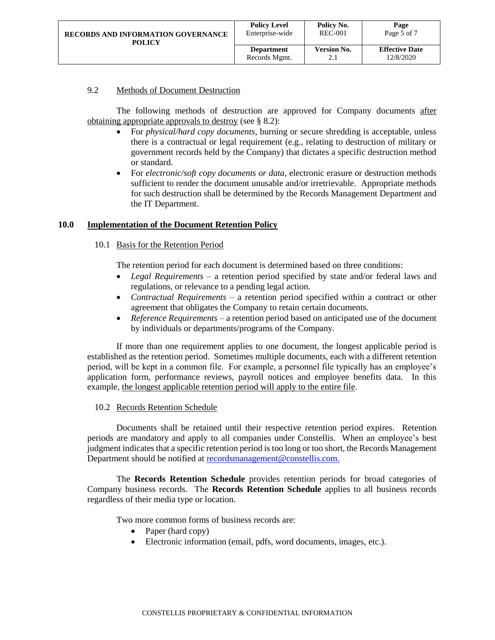| <b>RECORDS AND INFORMATION GOVERNANCE</b> | <b>Policy Level</b> | Policy No.         | Page                  |
|-------------------------------------------|---------------------|--------------------|-----------------------|
| POLICY                                    | Enterprise-wide     | <b>REC-001</b>     | Page 5 of 7           |
|                                           | <b>Department</b>   | <b>Version No.</b> | <b>Effective Date</b> |
|                                           | Records Mgmt.       | 2.1                | 12/8/2020             |

## <span id="page-4-0"></span>9.2 Methods of Document Destruction

The following methods of destruction are approved for Company documents after obtaining appropriate approvals to destroy (see § 8.2):

- For *physical/hard copy documents*, burning or secure shredding is acceptable, unless there is a contractual or legal requirement (e.g., relating to destruction of military or government records held by the Company) that dictates a specific destruction method or standard.
- For *electronic/soft copy documents or data*, electronic erasure or destruction methods sufficient to render the document unusable and/or irretrievable. Appropriate methods for such destruction shall be determined by the Records Management Department and the IT Department.

## <span id="page-4-2"></span><span id="page-4-1"></span>**10.0 Implementation of the Document Retention Policy**

## 10.1 Basis for the Retention Period

The retention period for each document is determined based on three conditions:

- *Legal Requirements* a retention period specified by state and/or federal laws and regulations, or relevance to a pending legal action.
- *Contractual Requirements* a retention period specified within a contract or other agreement that obligates the Company to retain certain documents.
- *Reference Requirements* a retention period based on anticipated use of the document by individuals or departments/programs of the Company.

If more than one requirement applies to one document, the longest applicable period is established as the retention period. Sometimes multiple documents, each with a different retention period, will be kept in a common file. For example, a personnel file typically has an employee's application form, performance reviews, payroll notices and employee benefits data. In this example, the longest applicable retention period will apply to the entire file.

## 10.2 Records Retention Schedule

<span id="page-4-3"></span>Documents shall be retained until their respective retention period expires. Retention periods are mandatory and apply to all companies under Constellis. When an employee's best judgment indicates that a specific retention period is too long or too short, the Records Management Department should be notified at [recordsmanagement@constellis.com.](mailto:recordsmanagement@constellis.com)

The **Records Retention Schedule** provides retention periods for broad categories of Company business records. The **Records Retention Schedule** applies to all business records regardless of their media type or location.

Two more common forms of business records are:

- Paper (hard copy)
- Electronic information (email, pdfs, word documents, images, etc.).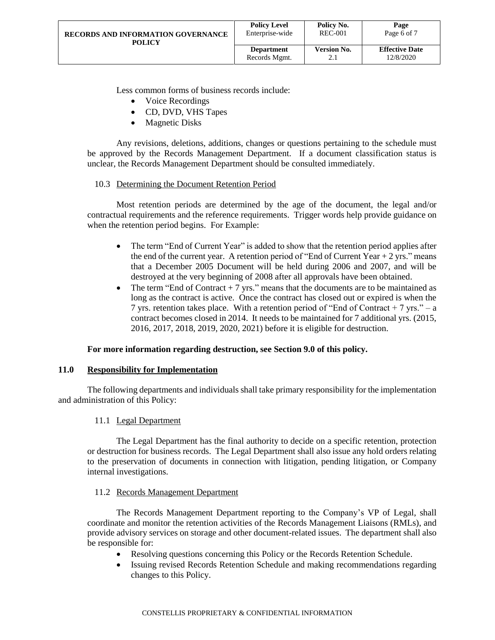| <b>RECORDS AND INFORMATION GOVERNANCE</b> | <b>Policy Level</b> | Policy No.         | Page                  |
|-------------------------------------------|---------------------|--------------------|-----------------------|
| POLICY                                    | Enterprise-wide     | <b>REC-001</b>     | Page 6 of 7           |
|                                           | <b>Department</b>   | <b>Version No.</b> | <b>Effective Date</b> |
|                                           | Records Mgmt.       | 2.1                | 12/8/2020             |

Less common forms of business records include:

- Voice Recordings
- CD, DVD, VHS Tapes
- Magnetic Disks

Any revisions, deletions, additions, changes or questions pertaining to the schedule must be approved by the Records Management Department. If a document classification status is unclear, the Records Management Department should be consulted immediately.

#### 10.3 Determining the Document Retention Period

<span id="page-5-0"></span>Most retention periods are determined by the age of the document, the legal and/or contractual requirements and the reference requirements. Trigger words help provide guidance on when the retention period begins. For Example:

- The term "End of Current Year" is added to show that the retention period applies after the end of the current year. A retention period of "End of Current Year  $+ 2$  yrs." means that a December 2005 Document will be held during 2006 and 2007, and will be destroyed at the very beginning of 2008 after all approvals have been obtained.
- The term "End of Contract  $+7$  yrs." means that the documents are to be maintained as long as the contract is active. Once the contract has closed out or expired is when the 7 yrs. retention takes place. With a retention period of "End of Contract + 7 yrs." – a contract becomes closed in 2014. It needs to be maintained for 7 additional yrs. (2015, 2016, 2017, 2018, 2019, 2020, 2021) before it is eligible for destruction.

## **For more information regarding destruction, see Section 9.0 of this policy.**

#### <span id="page-5-1"></span>**11.0 Responsibility for Implementation**

<span id="page-5-2"></span>The following departments and individuals shall take primary responsibility for the implementation and administration of this Policy:

## 11.1 Legal Department

The Legal Department has the final authority to decide on a specific retention, protection or destruction for business records. The Legal Department shall also issue any hold orders relating to the preservation of documents in connection with litigation, pending litigation, or Company internal investigations.

#### 11.2 Records Management Department

<span id="page-5-3"></span>The Records Management Department reporting to the Company's VP of Legal, shall coordinate and monitor the retention activities of the Records Management Liaisons (RMLs), and provide advisory services on storage and other document-related issues. The department shall also be responsible for:

- Resolving questions concerning this Policy or the Records Retention Schedule.
- Issuing revised Records Retention Schedule and making recommendations regarding changes to this Policy.